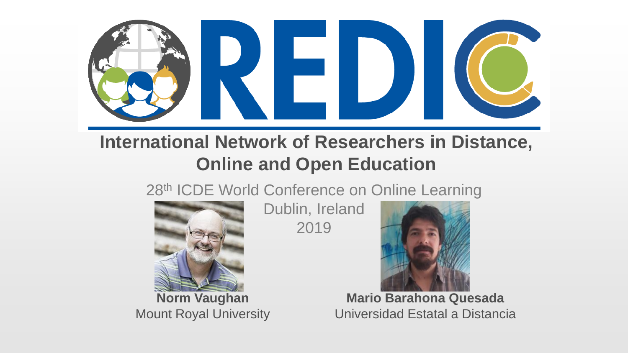

#### **International Network of Researchers in Distance, Online and Open Education**

28<sup>th</sup> ICDE World Conference on Online Learning



**Norm Vaughan** Mount Royal University

Dublin, Ireland 2019



**Mario Barahona Quesada** Universidad Estatal a Distancia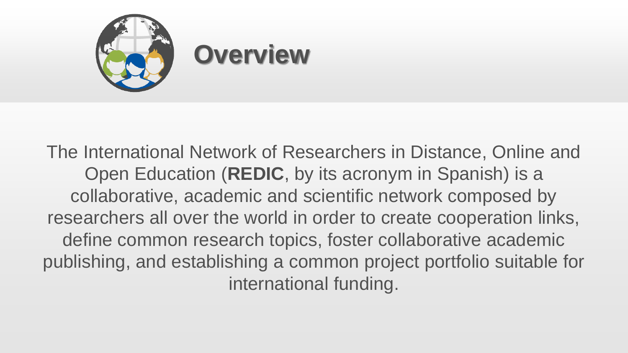

The International Network of Researchers in Distance, Online and Open Education (**REDIC**, by its acronym in Spanish) is a collaborative, academic and scientific network composed by researchers all over the world in order to create cooperation links, define common research topics, foster collaborative academic publishing, and establishing a common project portfolio suitable for international funding.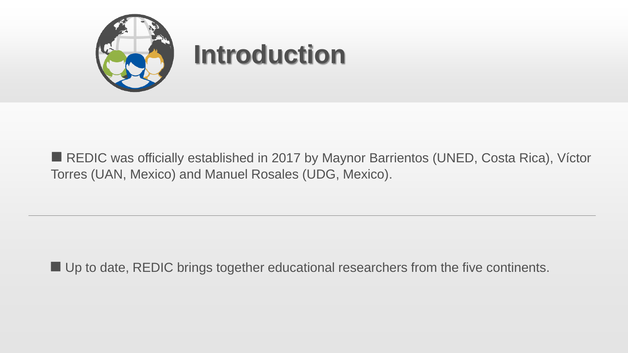

■ REDIC was officially established in 2017 by Maynor Barrientos (UNED, Costa Rica), Víctor Torres (UAN, Mexico) and Manuel Rosales (UDG, Mexico).

 $\blacksquare$  Up to date, REDIC brings together educational researchers from the five continents.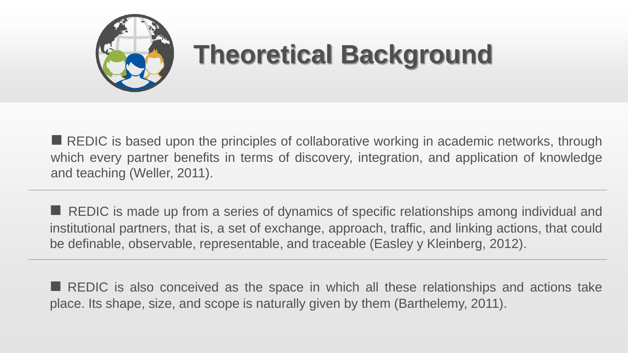

# **Theoretical Background**

 $\blacksquare$  REDIC is based upon the principles of collaborative working in academic networks, through which every partner benefits in terms of discovery, integration, and application of knowledge and teaching (Weller, 2011).

 $\blacksquare$  REDIC is made up from a series of dynamics of specific relationships among individual and institutional partners, that is, a set of exchange, approach, traffic, and linking actions, that could be definable, observable, representable, and traceable (Easley y Kleinberg, 2012).

 $\blacksquare$  REDIC is also conceived as the space in which all these relationships and actions take place. Its shape, size, and scope is naturally given by them (Barthelemy, 2011).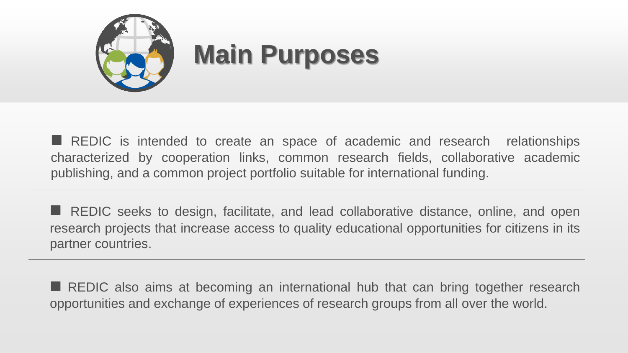

**n** REDIC is intended to create an space of academic and research relationships characterized by cooperation links, common research fields, collaborative academic publishing, and a common project portfolio suitable for international funding.

**n** REDIC seeks to design, facilitate, and lead collaborative distance, online, and open research projects that increase access to quality educational opportunities for citizens in its partner countries.

 $\blacksquare$  REDIC also aims at becoming an international hub that can bring together research opportunities and exchange of experiences of research groups from all over the world.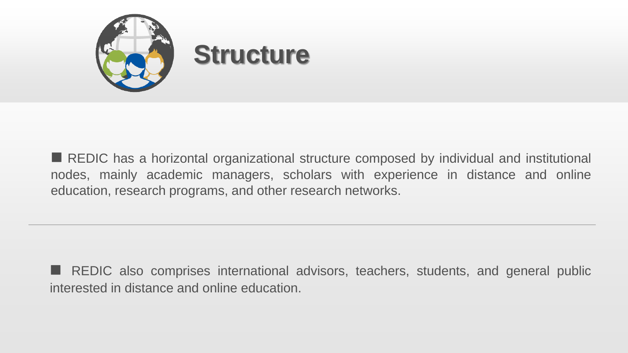

■ REDIC has a horizontal organizational structure composed by individual and institutional nodes, mainly academic managers, scholars with experience in distance and online education, research programs, and other research networks.

**n** REDIC also comprises international advisors, teachers, students, and general public interested in distance and online education.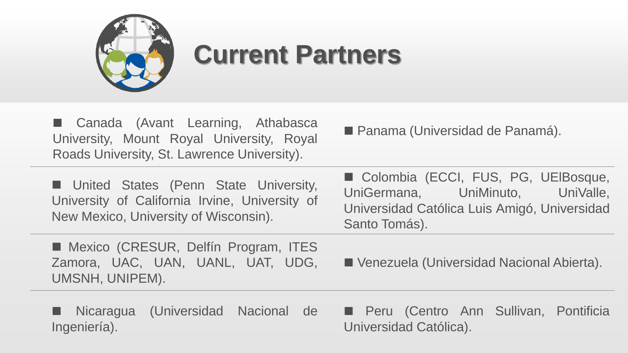

### **Current Partners**

■ Canada (Avant Learning, Athabasca University, Mount Royal University, Royal Roads University, St. Lawrence University).

■ Panama (Universidad de Panamá).

**n** United States (Penn State University, University of California Irvine, University of New Mexico, University of Wisconsin).

■ Mexico (CRESUR, Delfín Program, ITES Zamora, UAC, UAN, UANL, UAT, UDG, UMSNH, UNIPEM).

■ Colombia (ECCI, FUS, PG, UElBosque, UniGermana, UniMinuto, UniValle, Universidad Católica Luis Amigó, Universidad Santo Tomás).

■ Venezuela (Universidad Nacional Abierta).

**n** Nicaragua (Universidad Nacional de Ingeniería).

■ Peru (Centro Ann Sullivan, Pontificia Universidad Católica).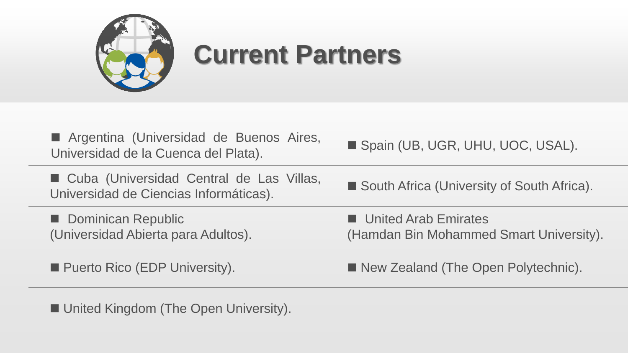

## **Current Partners**

| Argentina (Universidad de Buenos Aires,<br>Universidad de la Cuenca del Plata).      | Spain (UB, UGR, UHU, UOC, USAL).                                       |
|--------------------------------------------------------------------------------------|------------------------------------------------------------------------|
| ■ Cuba (Universidad Central de Las Villas,<br>Universidad de Ciencias Informáticas). | South Africa (University of South Africa).                             |
| Dominican Republic<br>(Universidad Abierta para Adultos).                            | <b>United Arab Emirates</b><br>(Hamdan Bin Mohammed Smart University). |
|                                                                                      |                                                                        |

■ Puerto Rico (EDP University). ■ New Zealand (The Open Polytechnic).

■ United Kingdom (The Open University).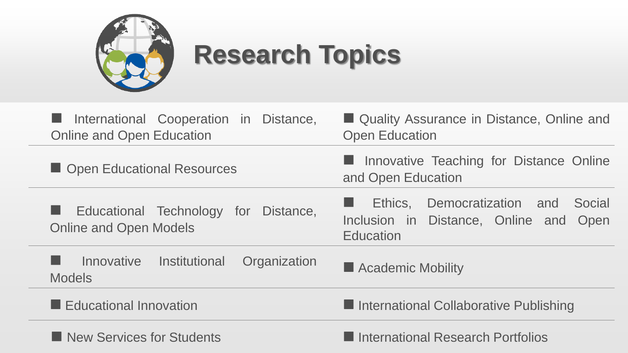

# **Research Topics**

| International Cooperation in Distance,<br><b>Online and Open Education</b> | ■ Quality Assurance in Distance, Online and<br><b>Open Education</b>                                   |
|----------------------------------------------------------------------------|--------------------------------------------------------------------------------------------------------|
| Open Educational Resources                                                 | <b>E</b> Innovative Teaching for Distance Online<br>and Open Education                                 |
| Educational Technology for Distance,<br><b>Online and Open Models</b>      | Democratization and<br>Ethics,<br>Social<br>Inclusion in Distance, Online and Open<br><b>Education</b> |
| Institutional<br>Innovative<br>Organization<br><b>Models</b>               | Academic Mobility                                                                                      |
| Educational Innovation                                                     | International Collaborative Publishing                                                                 |
| New Services for Students                                                  | International Research Portfolios                                                                      |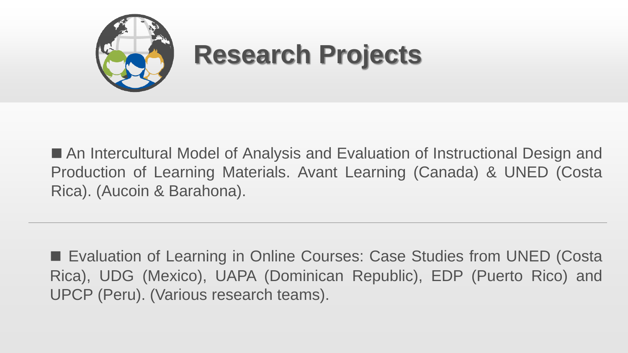

■ An Intercultural Model of Analysis and Evaluation of Instructional Design and Production of Learning Materials. Avant Learning (Canada) & UNED (Costa Rica). (Aucoin & Barahona).

■ Evaluation of Learning in Online Courses: Case Studies from UNED (Costa Rica), UDG (Mexico), UAPA (Dominican Republic), EDP (Puerto Rico) and UPCP (Peru). (Various research teams).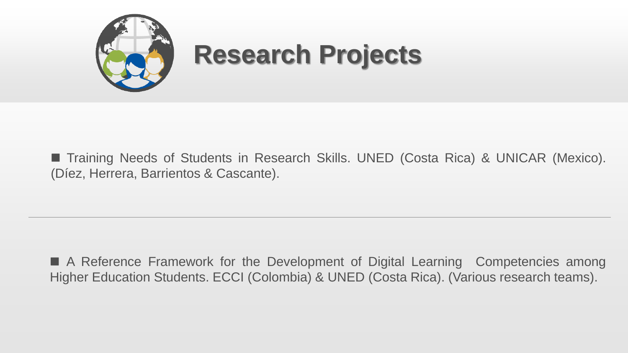

■ Training Needs of Students in Research Skills. UNED (Costa Rica) & UNICAR (Mexico). (Díez, Herrera, Barrientos & Cascante).

■ A Reference Framework for the Development of Digital Learning Competencies among Higher Education Students. ECCI (Colombia) & UNED (Costa Rica). (Various research teams).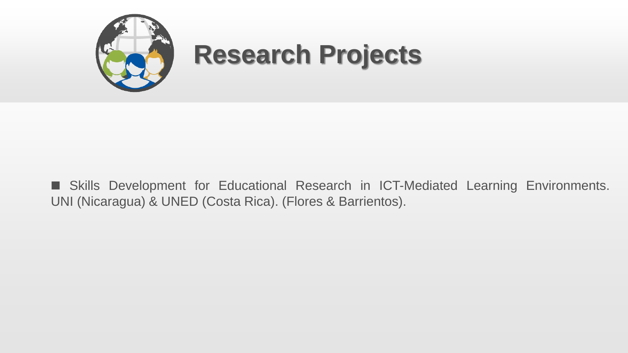

■ Skills Development for Educational Research in ICT-Mediated Learning Environments. UNI (Nicaragua) & UNED (Costa Rica). (Flores & Barrientos).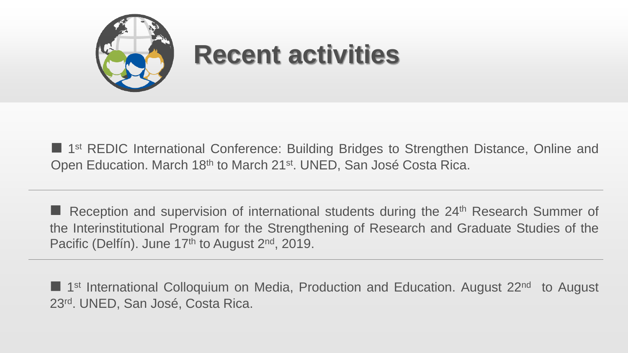

■ 1<sup>st</sup> REDIC International Conference: Building Bridges to Strengthen Distance, Online and Open Education. March 18<sup>th</sup> to March 21<sup>st</sup>. UNED, San José Costa Rica.

**n** Reception and supervision of international students during the 24<sup>th</sup> Research Summer of the Interinstitutional Program for the Strengthening of Research and Graduate Studies of the Pacific (Delfín). June 17<sup>th</sup> to August 2<sup>nd</sup>, 2019.

■ 1<sup>st</sup> International Colloquium on Media, Production and Education. August 22<sup>nd</sup> to August 23rd . UNED, San José, Costa Rica.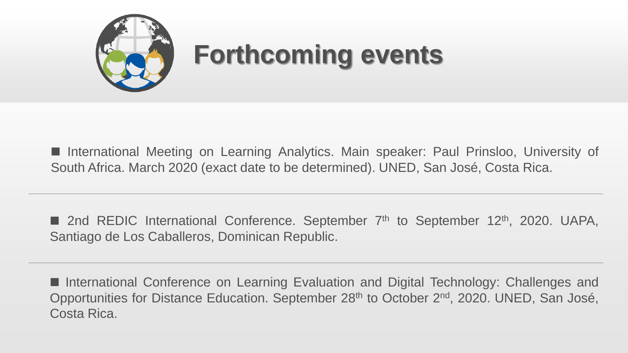

■ International Meeting on Learning Analytics. Main speaker: Paul Prinsloo, University of South Africa. March 2020 (exact date to be determined). UNED, San José, Costa Rica.

■ 2nd REDIC International Conference. September 7<sup>th</sup> to September 12<sup>th</sup>, 2020. UAPA, Santiago de Los Caballeros, Dominican Republic.

■ International Conference on Learning Evaluation and Digital Technology: Challenges and Opportunities for Distance Education. September 28<sup>th</sup> to October 2<sup>nd</sup>, 2020. UNED, San José, Costa Rica.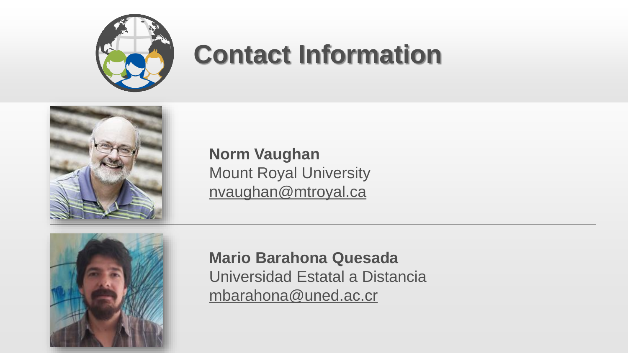

# **Contact Information**



**Norm Vaughan** Mount Royal University nvaughan@mtroyal.ca



**Mario Barahona Quesada** Universidad Estatal a Distancia mbarahona@uned.ac.cr